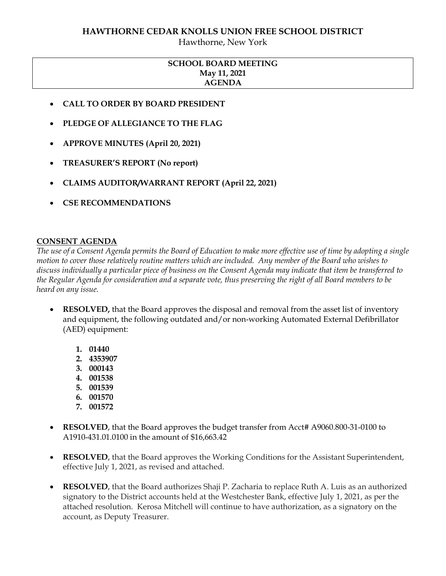#### **HAWTHORNE CEDAR KNOLLS UNION FREE SCHOOL DISTRICT**

Hawthorne, New York

## **SCHOOL BOARD MEETING May 11, 2021 AGENDA**

- **CALL TO ORDER BY BOARD PRESIDENT**
- **PLEDGE OF ALLEGIANCE TO THE FLAG**
- **APPROVE MINUTES (April 20, 2021)**
- **TREASURER'S REPORT (No report)**
- **CLAIMS AUDITOR/WARRANT REPORT (April 22, 2021)**
- **CSE RECOMMENDATIONS**

#### **CONSENT AGENDA**

*The use of a Consent Agenda permits the Board of Education to make more effective use of time by adopting a single motion to cover those relatively routine matters which are included. Any member of the Board who wishes to discuss individually a particular piece of business on the Consent Agenda may indicate that item be transferred to the Regular Agenda for consideration and a separate vote, thus preserving the right of all Board members to be heard on any issue.* 

- **RESOLVED,** that the Board approves the disposal and removal from the asset list of inventory and equipment, the following outdated and/or non-working Automated External Defibrillator (AED) equipment:
	- **1. 01440**
	- **2. 4353907**
	- **3. 000143**
	- **4. 001538**
	- **5. 001539**
	- **6. 001570**
	- **7. 001572**
- **RESOLVED**, that the Board approves the budget transfer from Acct# A9060.800-31-0100 to A1910-431.01.0100 in the amount of \$16,663.42
- **RESOLVED**, that the Board approves the Working Conditions for the Assistant Superintendent, effective July 1, 2021, as revised and attached.
- **RESOLVED**, that the Board authorizes Shaji P. Zacharia to replace Ruth A. Luis as an authorized signatory to the District accounts held at the Westchester Bank, effective July 1, 2021, as per the attached resolution. Kerosa Mitchell will continue to have authorization, as a signatory on the account, as Deputy Treasurer.